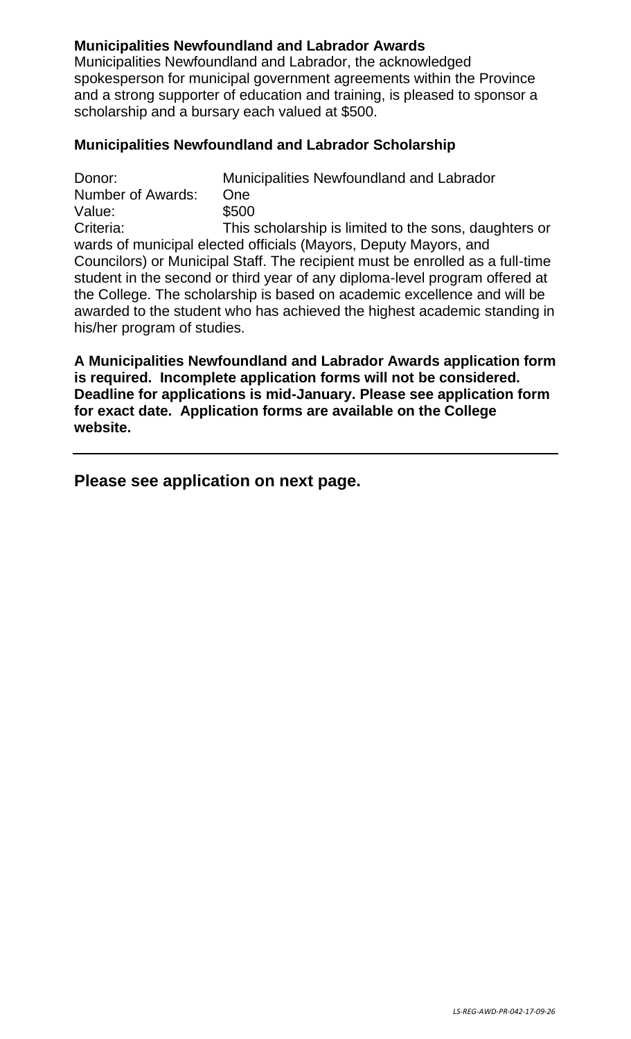# **Municipalities Newfoundland and Labrador Awards**

Municipalities Newfoundland and Labrador, the acknowledged spokesperson for municipal government agreements within the Province and a strong supporter of education and training, is pleased to sponsor a scholarship and a bursary each valued at \$500.

# **Municipalities Newfoundland and Labrador Scholarship**

Donor: Municipalities Newfoundland and Labrador Number of Awards: One Value: \$500 Criteria: This scholarship is limited to the sons, daughters or wards of municipal elected officials (Mayors, Deputy Mayors, and Councilors) or Municipal Staff. The recipient must be enrolled as a full-time student in the second or third year of any diploma-level program offered at the College. The scholarship is based on academic excellence and will be awarded to the student who has achieved the highest academic standing in his/her program of studies.

**A Municipalities Newfoundland and Labrador Awards application form is required. Incomplete application forms will not be considered. Deadline for applications is mid-January. Please see application form for exact date. Application forms are available on the College website.** 

**Please see application on next page.**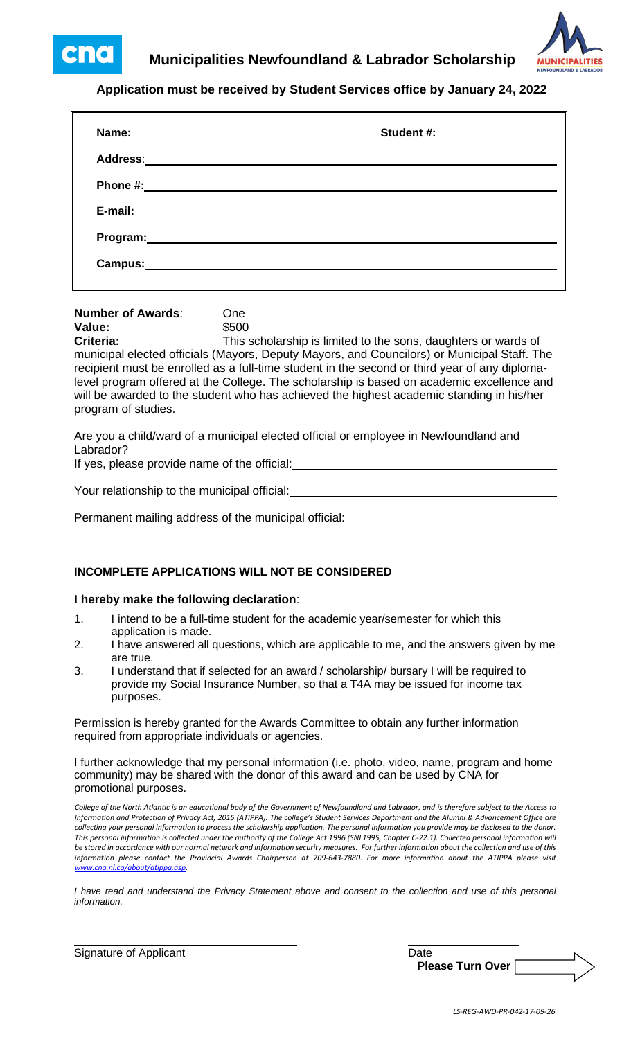cna



### **Application must be received by Student Services office by January 24, 2022**

| Name:<br><u> 1989 - Johann Harry Harry Harry Harry Harry Harry Harry Harry Harry Harry Harry Harry Harry Harry Harry Harry</u>                                                                                                 |  |
|--------------------------------------------------------------------------------------------------------------------------------------------------------------------------------------------------------------------------------|--|
|                                                                                                                                                                                                                                |  |
|                                                                                                                                                                                                                                |  |
| E-mail:<br><u> 1989 - Andrea Station Barbara, amerikan per</u>                                                                                                                                                                 |  |
| Program: Note and the set of the set of the set of the set of the set of the set of the set of the set of the set of the set of the set of the set of the set of the set of the set of the set of the set of the set of the se |  |
| Campus:                                                                                                                                                                                                                        |  |
|                                                                                                                                                                                                                                |  |

### **Number of Awards**: One **Value:** \$500

**Criteria:** This scholarship is limited to the sons, daughters or wards of municipal elected officials (Mayors, Deputy Mayors, and Councilors) or Municipal Staff. The recipient must be enrolled as a full-time student in the second or third year of any diplomalevel program offered at the College. The scholarship is based on academic excellence and will be awarded to the student who has achieved the highest academic standing in his/her program of studies.

Are you a child/ward of a municipal elected official or employee in Newfoundland and Labrador?

If yes, please provide name of the official:

Your relationship to the municipal official:

Permanent mailing address of the municipal official:

### **INCOMPLETE APPLICATIONS WILL NOT BE CONSIDERED**

#### **I hereby make the following declaration**:

- 1. I intend to be a full-time student for the academic year/semester for which this application is made.
- 2. I have answered all questions, which are applicable to me, and the answers given by me are true.
- 3. I understand that if selected for an award / scholarship/ bursary I will be required to provide my Social Insurance Number, so that a T4A may be issued for income tax purposes.

Permission is hereby granted for the Awards Committee to obtain any further information required from appropriate individuals or agencies.

I further acknowledge that my personal information (i.e. photo, video, name, program and home community) may be shared with the donor of this award and can be used by CNA for promotional purposes.

*College of the North Atlantic is an educational body of the Government of Newfoundland and Labrador, and is therefore subject to the Access to*  Information and Protection of Privacy Act, 2015 (ATIPPA). The college's Student Services Department and the Alumni & Advancement Office are *collecting your personal information to process the scholarship application. The personal information you provide may be disclosed to the donor.*  This personal information is collected under the authority of the College Act 1996 (SNL1995, Chapter C-22.1). Collected personal information will *be stored in accordance with our normal network and information security measures. For further information about the collection and use of this information please contact the Provincial Awards Chairperson at 709-643-7880. For more information about the ATIPPA please visit [www.cna.nl.ca/about/atippa.asp.](http://www.cna.nl.ca/about/atippa.asp)*

*I have read and understand the Privacy Statement above and consent to the collection and use of this personal information.*

Signature of Applicant Date Date Date Date

**Please Turn Over**